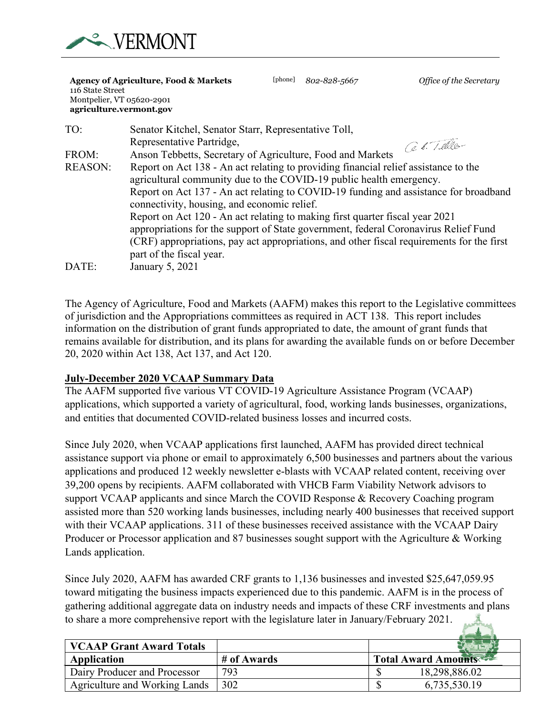

#### **Agency of Agriculture, Food & Markets** [phone] *802-828-5667 Office of the Secretary* 116 State Street Montpelier, VT 05620-2901 **agriculture.vermont.gov**

| TO:            | Senator Kitchel, Senator Starr, Representative Toll,                                      |
|----------------|-------------------------------------------------------------------------------------------|
|                | Representative Partridge,<br>Get Teller                                                   |
| FROM:          | Anson Tebbetts, Secretary of Agriculture, Food and Markets                                |
| <b>REASON:</b> | Report on Act 138 - An act relating to providing financial relief assistance to the       |
|                | agricultural community due to the COVID-19 public health emergency.                       |
|                | Report on Act 137 - An act relating to COVID-19 funding and assistance for broadband      |
|                | connectivity, housing, and economic relief.                                               |
|                | Report on Act 120 - An act relating to making first quarter fiscal year 2021              |
|                | appropriations for the support of State government, federal Coronavirus Relief Fund       |
|                | (CRF) appropriations, pay act appropriations, and other fiscal requirements for the first |
|                | part of the fiscal year.                                                                  |
| DATE:          | January 5, 2021                                                                           |

The Agency of Agriculture, Food and Markets (AAFM) makes this report to the Legislative committees of jurisdiction and the Appropriations committees as required in ACT 138. This report includes information on the distribution of grant funds appropriated to date, the amount of grant funds that remains available for distribution, and its plans for awarding the available funds on or before December 20, 2020 within Act 138, Act 137, and Act 120.

## **July-December 2020 VCAAP Summary Data**

The AAFM supported five various VT COVID-19 Agriculture Assistance Program (VCAAP) applications, which supported a variety of agricultural, food, working lands businesses, organizations, and entities that documented COVID-related business losses and incurred costs.

Since July 2020, when VCAAP applications first launched, AAFM has provided direct technical assistance support via phone or email to approximately 6,500 businesses and partners about the various applications and produced 12 weekly newsletter e-blasts with VCAAP related content, receiving over 39,200 opens by recipients. AAFM collaborated with VHCB Farm Viability Network advisors to support VCAAP applicants and since March the COVID Response & Recovery Coaching program assisted more than 520 working lands businesses, including nearly 400 businesses that received support with their VCAAP applications. 311 of these businesses received assistance with the VCAAP Dairy Producer or Processor application and 87 businesses sought support with the Agriculture & Working Lands application.

Since July 2020, AAFM has awarded CRF grants to 1,136 businesses and invested \$25,647,059.95 toward mitigating the business impacts experienced due to this pandemic. AAFM is in the process of gathering additional aggregate data on industry needs and impacts of these CRF investments and plans to share a more comprehensive report with the legislature later in January/February 2021.

| <b>VCAAP Grant Award Totals</b> |             |                            |
|---------------------------------|-------------|----------------------------|
| Application                     | # of Awards | <b>Total Award Amounts</b> |
| Dairy Producer and Processor    | 793         | 18,298,886.02              |
| Agriculture and Working Lands   | 302         | 6,735,530.19               |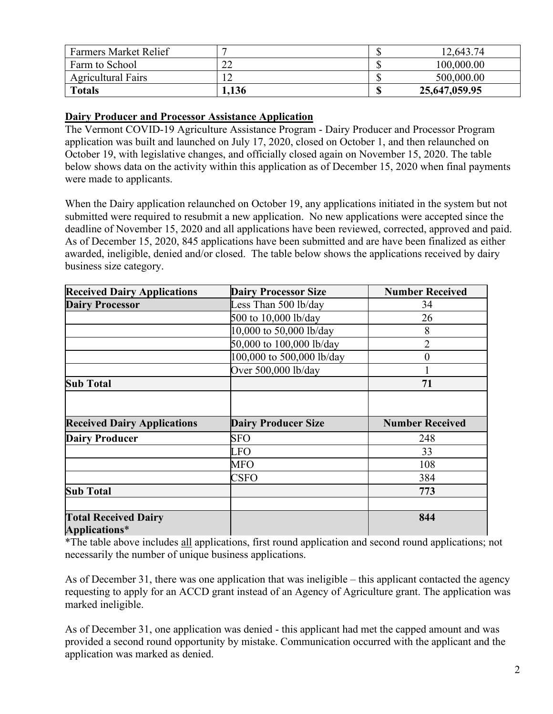| <b>Farmers Market Relief</b> |       | 12,643.74     |
|------------------------------|-------|---------------|
| Farm to School               | ∠∠    | 100,000.00    |
| <b>Agricultural Fairs</b>    |       | 500,000.00    |
| <b>Totals</b>                | 1,136 | 25,647,059.95 |

#### **Dairy Producer and Processor Assistance Application**

The Vermont COVID-19 Agriculture Assistance Program - Dairy Producer and Processor Program application was built and launched on July 17, 2020, closed on October 1, and then relaunched on October 19, with legislative changes, and officially closed again on November 15, 2020. The table below shows data on the activity within this application as of December 15, 2020 when final payments were made to applicants.

When the Dairy application relaunched on October 19, any applications initiated in the system but not submitted were required to resubmit a new application. No new applications were accepted since the deadline of November 15, 2020 and all applications have been reviewed, corrected, approved and paid. As of December 15, 2020, 845 applications have been submitted and are have been finalized as either awarded, ineligible, denied and/or closed. The table below shows the applications received by dairy business size category.

| <b>Received Dairy Applications</b> | <b>Dairy Processor Size</b> | <b>Number Received</b> |  |
|------------------------------------|-----------------------------|------------------------|--|
| <b>Dairy Processor</b>             | Less Than 500 lb/day        | 34                     |  |
|                                    | 500 to 10,000 lb/day        | 26                     |  |
|                                    | 10,000 to 50,000 lb/day     | 8                      |  |
|                                    | 50,000 to 100,000 lb/day    | $\overline{2}$         |  |
|                                    | 100,000 to 500,000 lb/day   | $\overline{0}$         |  |
|                                    | Over 500,000 lb/day         |                        |  |
| <b>Sub Total</b>                   |                             | 71                     |  |
|                                    |                             |                        |  |
| <b>Received Dairy Applications</b> | <b>Dairy Producer Size</b>  | <b>Number Received</b> |  |
| <b>Dairy Producer</b>              | <b>SFO</b>                  | 248                    |  |
|                                    | LFO                         | 33                     |  |
|                                    | <b>MFO</b>                  | 108                    |  |
|                                    | <b>CSFO</b>                 | 384                    |  |
| <b>Sub Total</b>                   |                             | 773                    |  |
|                                    |                             |                        |  |
| <b>Total Received Dairy</b>        |                             | 844                    |  |
| <b>Applications*</b>               |                             |                        |  |

\*The table above includes all applications, first round application and second round applications; not necessarily the number of unique business applications.

As of December 31, there was one application that was ineligible – this applicant contacted the agency requesting to apply for an ACCD grant instead of an Agency of Agriculture grant. The application was marked ineligible.

As of December 31, one application was denied - this applicant had met the capped amount and was provided a second round opportunity by mistake. Communication occurred with the applicant and the application was marked as denied.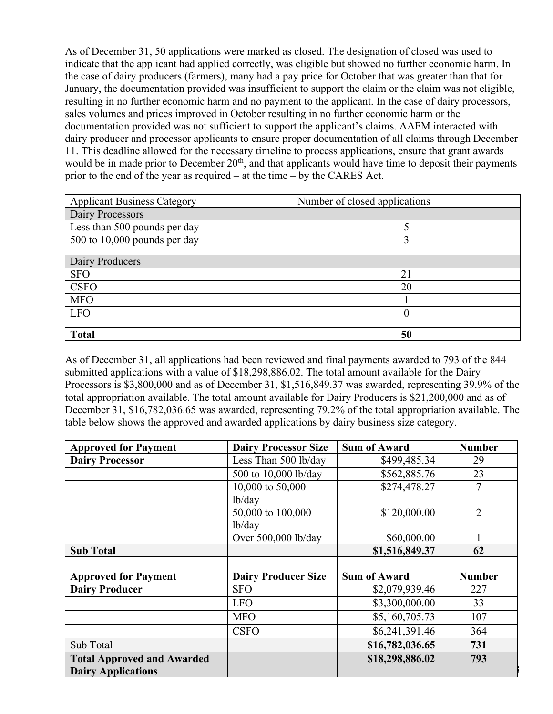As of December 31, 50 applications were marked as closed. The designation of closed was used to indicate that the applicant had applied correctly, was eligible but showed no further economic harm. In the case of dairy producers (farmers), many had a pay price for October that was greater than that for January, the documentation provided was insufficient to support the claim or the claim was not eligible, resulting in no further economic harm and no payment to the applicant. In the case of dairy processors, sales volumes and prices improved in October resulting in no further economic harm or the documentation provided was not sufficient to support the applicant's claims. AAFM interacted with dairy producer and processor applicants to ensure proper documentation of all claims through December 11. This deadline allowed for the necessary timeline to process applications, ensure that grant awards would be in made prior to December 20<sup>th</sup>, and that applicants would have time to deposit their payments prior to the end of the year as required – at the time – by the CARES Act.

| <b>Applicant Business Category</b> | Number of closed applications |
|------------------------------------|-------------------------------|
| Dairy Processors                   |                               |
| Less than 500 pounds per day       |                               |
| $500$ to $10,000$ pounds per day   |                               |
|                                    |                               |
| Dairy Producers                    |                               |
| <b>SFO</b>                         | 21                            |
| <b>CSFO</b>                        | 20                            |
| <b>MFO</b>                         |                               |
| <b>LFO</b>                         | 0                             |
|                                    |                               |
| <b>Total</b>                       | 50                            |

As of December 31, all applications had been reviewed and final payments awarded to 793 of the 844 submitted applications with a value of \$18,298,886.02. The total amount available for the Dairy Processors is \$3,800,000 and as of December 31, \$1,516,849.37 was awarded, representing 39.9% of the total appropriation available. The total amount available for Dairy Producers is \$21,200,000 and as of December 31, \$16,782,036.65 was awarded, representing 79.2% of the total appropriation available. The table below shows the approved and awarded applications by dairy business size category.

| <b>Approved for Payment</b>       | <b>Dairy Processor Size</b> | <b>Sum of Award</b> | <b>Number</b>  |
|-----------------------------------|-----------------------------|---------------------|----------------|
| <b>Dairy Processor</b>            | Less Than 500 lb/day        | \$499,485.34        | 29             |
|                                   | 500 to 10,000 lb/day        | \$562,885.76        | 23             |
|                                   | 10,000 to 50,000            | \$274,478.27        | 7              |
|                                   | lb/day                      |                     |                |
|                                   | 50,000 to 100,000           | \$120,000.00        | $\overline{2}$ |
|                                   | lb/day                      |                     |                |
|                                   | Over 500,000 lb/day         | \$60,000.00         |                |
| <b>Sub Total</b>                  |                             | \$1,516,849.37      | 62             |
|                                   |                             |                     |                |
| <b>Approved for Payment</b>       | <b>Dairy Producer Size</b>  | <b>Sum of Award</b> | <b>Number</b>  |
| <b>Dairy Producer</b>             | <b>SFO</b>                  | \$2,079,939.46      | 227            |
|                                   | <b>LFO</b>                  | \$3,300,000.00      | 33             |
|                                   | <b>MFO</b>                  | \$5,160,705.73      | 107            |
|                                   | <b>CSFO</b>                 | \$6,241,391.46      | 364            |
| Sub Total                         |                             | \$16,782,036.65     | 731            |
| <b>Total Approved and Awarded</b> |                             | \$18,298,886.02     | 793            |
| <b>Dairy Applications</b>         |                             |                     |                |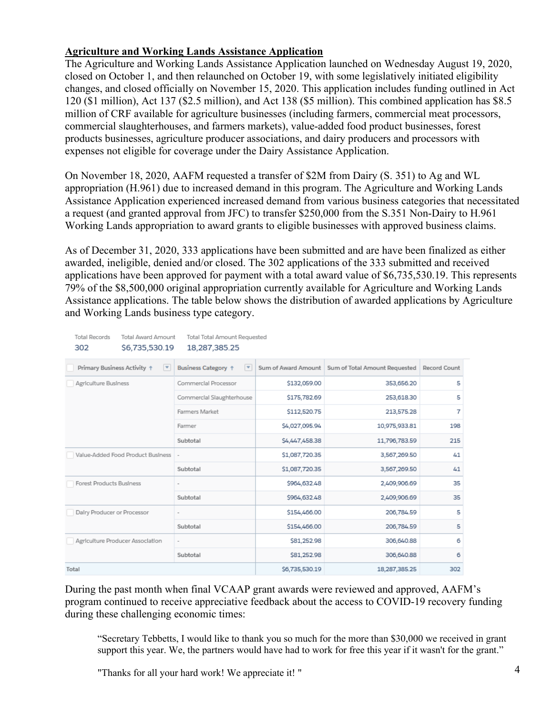## **Agriculture and Working Lands Assistance Application**

The Agriculture and Working Lands Assistance Application launched on Wednesday August 19, 2020, closed on October 1, and then relaunched on October 19, with some legislatively initiated eligibility changes, and closed officially on November 15, 2020. This application includes funding outlined in Act 120 (\$1 million), Act 137 (\$2.5 million), and Act 138 (\$5 million). This combined application has \$8.5 million of CRF available for agriculture businesses (including farmers, commercial meat processors, commercial slaughterhouses, and farmers markets), value-added food product businesses, forest products businesses, agriculture producer associations, and dairy producers and processors with expenses not eligible for coverage under the Dairy Assistance Application.

On November 18, 2020, AAFM requested a transfer of \$2M from Dairy (S. 351) to Ag and WL appropriation (H.961) due to increased demand in this program. The Agriculture and Working Lands Assistance Application experienced increased demand from various business categories that necessitated a request (and granted approval from JFC) to transfer \$250,000 from the S.351 Non-Dairy to H.961 Working Lands appropriation to award grants to eligible businesses with approved business claims.

As of December 31, 2020, 333 applications have been submitted and are have been finalized as either awarded, ineligible, denied and/or closed. The 302 applications of the 333 submitted and received applications have been approved for payment with a total award value of \$6,735,530.19. This represents 79% of the \$8,500,000 original appropriation currently available for Agriculture and Working Lands Assistance applications. The table below shows the distribution of awarded applications by Agriculture and Working Lands business type category.

| <b>Total Records</b><br><b>Total Award Amount</b><br>Total Total Amount Requested<br>\$6,735,530.19<br>18,287,385.25<br>302 |                                                        |                     |                               |              |  |  |  |
|-----------------------------------------------------------------------------------------------------------------------------|--------------------------------------------------------|---------------------|-------------------------------|--------------|--|--|--|
| Primary Business Activity 1<br>$\boldsymbol{\mathrm{v}}$                                                                    | <b>Business Category +</b><br>$\overline{\phantom{a}}$ | Sum of Award Amount | Sum of Total Amount Requested | Record Count |  |  |  |
| Agriculture Business                                                                                                        | Commercial Processor                                   | \$132,059.00        | 353,656.20                    | 5            |  |  |  |
|                                                                                                                             | Commercial Slaughterhouse                              | \$175,782.69        | 253,618.30                    | 5            |  |  |  |
|                                                                                                                             | Farmers Market                                         | \$112,520.75        | 213,575.28                    | 7            |  |  |  |
|                                                                                                                             | Farmer                                                 | \$4,027,095.94      | 10,975,933.81                 | 198          |  |  |  |
|                                                                                                                             | Subtotal                                               | \$4,447,458.38      | 11,796,783.59                 | 215          |  |  |  |
| Value-Added Food Product Business                                                                                           | $\overline{\phantom{a}}$                               | \$1,087,720.35      | 3,567,269.50                  | 41           |  |  |  |
|                                                                                                                             | Subtotal                                               | \$1,087,720.35      | 3,567,269.50                  | 41           |  |  |  |
| <b>Forest Products Business</b>                                                                                             |                                                        | \$964,632.48        | 2,409,906.69                  | 35           |  |  |  |
|                                                                                                                             | Subtotal                                               | \$964,632.48        | 2,409,906.69                  | 35           |  |  |  |
| Dalry Producer or Processor                                                                                                 |                                                        | \$154,466.00        | 206,784.59                    | 5            |  |  |  |
|                                                                                                                             | Subtotal                                               | \$154,466.00        | 206,784.59                    | 5            |  |  |  |
| Agriculture Producer Association                                                                                            |                                                        | \$81,252.98         | 306,640.88                    | 6            |  |  |  |
|                                                                                                                             | Subtotal                                               | \$81,252.98         | 306,640.88                    | 6            |  |  |  |
| Total                                                                                                                       |                                                        | \$6,735,530.19      | 18,287,385.25                 | 302          |  |  |  |

During the past month when final VCAAP grant awards were reviewed and approved, AAFM's program continued to receive appreciative feedback about the access to COVID-19 recovery funding during these challenging economic times:

"Secretary Tebbetts, I would like to thank you so much for the more than \$30,000 we received in grant support this year. We, the partners would have had to work for free this year if it wasn't for the grant."

"Thanks for all your hard work! We appreciate it! "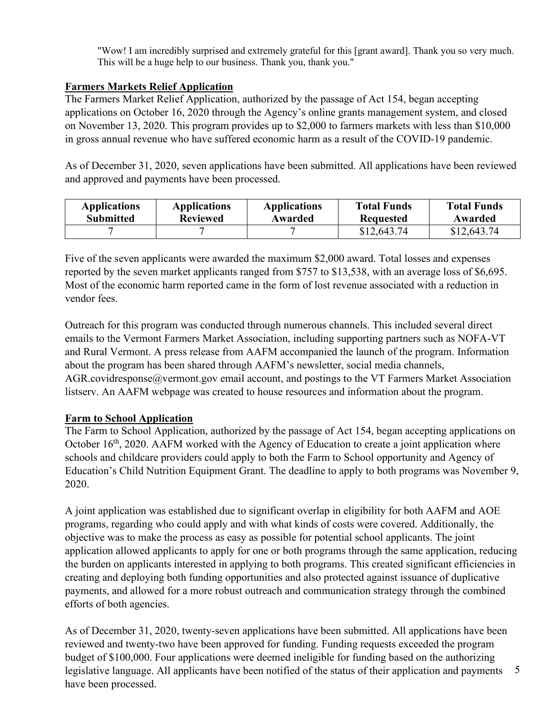"Wow! I am incredibly surprised and extremely grateful for this [grant award]. Thank you so very much. This will be a huge help to our business. Thank you, thank you."

# **Farmers Markets Relief Application**

The Farmers Market Relief Application, authorized by the passage of Act 154, began accepting applications on October 16, 2020 through the Agency's online grants management system, and closed on November 13, 2020. This program provides up to \$2,000 to farmers markets with less than \$10,000 in gross annual revenue who have suffered economic harm as a result of the COVID-19 pandemic.

As of December 31, 2020, seven applications have been submitted. All applications have been reviewed and approved and payments have been processed.

| <b>Applications</b> | <b>Applications</b> | <b>Applications</b> | <b>Total Funds</b> | <b>Total Funds</b> |
|---------------------|---------------------|---------------------|--------------------|--------------------|
| <b>Submitted</b>    | <b>Reviewed</b>     | Awarded             | Requested          | Awarded            |
|                     |                     |                     | \$12,643.74        | \$12,643.74        |

Five of the seven applicants were awarded the maximum \$2,000 award. Total losses and expenses reported by the seven market applicants ranged from \$757 to \$13,538, with an average loss of \$6,695. Most of the economic harm reported came in the form of lost revenue associated with a reduction in vendor fees.

Outreach for this program was conducted through numerous channels. This included several direct emails to the Vermont Farmers Market Association, including supporting partners such as NOFA-VT and Rural Vermont. A press release from AAFM accompanied the launch of the program. Information about the program has been shared through AAFM's newsletter, social media channels, [AGR.covidresponse@vermont.gov](mailto:AGR.covidresponse@vermont.gov) email account, and postings to the VT Farmers Market Association listserv. An AAFM webpage was created to house resources and information about the program.

# **Farm to School Application**

The Farm to School Application, authorized by the passage of Act 154, began accepting applications on October 16<sup>th</sup>, 2020. AAFM worked with the Agency of Education to create a joint application where schools and childcare providers could apply to both the Farm to School opportunity and Agency of Education's Child Nutrition Equipment Grant. The deadline to apply to both programs was November 9, 2020.

A joint application was established due to significant overlap in eligibility for both AAFM and AOE programs, regarding who could apply and with what kinds of costs were covered. Additionally, the objective was to make the process as easy as possible for potential school applicants. The joint application allowed applicants to apply for one or both programs through the same application, reducing the burden on applicants interested in applying to both programs. This created significant efficiencies in creating and deploying both funding opportunities and also protected against issuance of duplicative payments, and allowed for a more robust outreach and communication strategy through the combined efforts of both agencies.

5 As of December 31, 2020, twenty-seven applications have been submitted. All applications have been reviewed and twenty-two have been approved for funding. Funding requests exceeded the program budget of \$100,000. Four applications were deemed ineligible for funding based on the authorizing legislative language. All applicants have been notified of the status of their application and payments have been processed.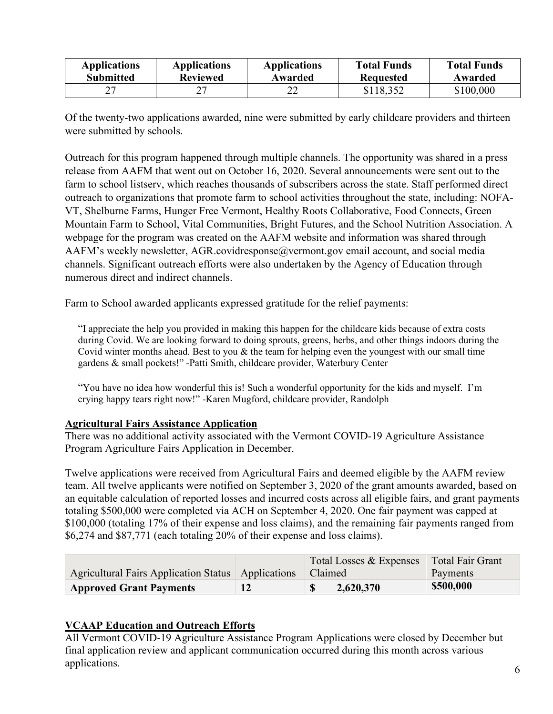| <b>Applications</b> | <b>Applications</b> | <b>Applications</b> | <b>Total Funds</b> | <b>Total Funds</b> |
|---------------------|---------------------|---------------------|--------------------|--------------------|
| <b>Submitted</b>    | <b>Reviewed</b>     | Awarded             | <b>Requested</b>   | Awarded            |
|                     |                     | ∠∠                  | \$118,352          | \$100,000          |

Of the twenty-two applications awarded, nine were submitted by early childcare providers and thirteen were submitted by schools.

Outreach for this program happened through multiple channels. The opportunity was shared in a press release from AAFM that went out on October 16, 2020. Several announcements were sent out to the farm to school listserv, which reaches thousands of subscribers across the state. Staff performed direct outreach to organizations that promote farm to school activities throughout the state, including: NOFA-VT, Shelburne Farms, Hunger Free Vermont, Healthy Roots Collaborative, Food Connects, Green Mountain Farm to School, Vital Communities, Bright Futures, and the School Nutrition Association. A webpage for the program was created on the AAFM website and information was shared through AAFM's weekly newsletter, [AGR.covidresponse@vermont.gov](mailto:AGR.covidresponse@vermont.gov) email account, and social media channels. Significant outreach efforts were also undertaken by the Agency of Education through numerous direct and indirect channels.

Farm to School awarded applicants expressed gratitude for the relief payments:

"I appreciate the help you provided in making this happen for the childcare kids because of extra costs during Covid. We are looking forward to doing sprouts, greens, herbs, and other things indoors during the Covid winter months ahead. Best to you  $\&$  the team for helping even the youngest with our small time gardens & small pockets!" -Patti Smith, childcare provider, Waterbury Center

"You have no idea how wonderful this is! Such a wonderful opportunity for the kids and myself. I'm crying happy tears right now!" -Karen Mugford, childcare provider, Randolph

#### **Agricultural Fairs Assistance Application**

There was no additional activity associated with the Vermont COVID-19 Agriculture Assistance Program Agriculture Fairs Application in December.

Twelve applications were received from Agricultural Fairs and deemed eligible by the AAFM review team. All twelve applicants were notified on September 3, 2020 of the grant amounts awarded, based on an equitable calculation of reported losses and incurred costs across all eligible fairs, and grant payments totaling \$500,000 were completed via ACH on September 4, 2020. One fair payment was capped at \$100,000 (totaling 17% of their expense and loss claims), and the remaining fair payments ranged from \$6,274 and \$87,771 (each totaling 20% of their expense and loss claims).

|                                                      | Total Losses & Expenses | Total Fair Grant |
|------------------------------------------------------|-------------------------|------------------|
| Agricultural Fairs Application Status   Applications | Claimed                 | Payments         |
| <b>Approved Grant Payments</b>                       | 2,620,370               | \$500,000        |

## **VCAAP Education and Outreach Efforts**

All Vermont COVID-19 Agriculture Assistance Program Applications were closed by December but final application review and applicant communication occurred during this month across various applications.